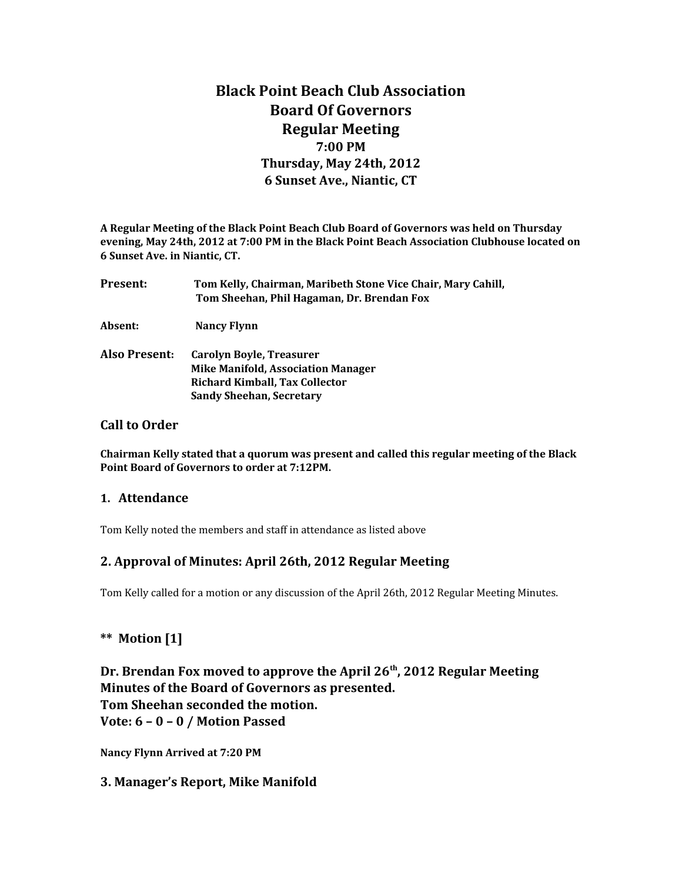# **Black Point Beach Club Association Board Of Governors Regular Meeting 7:00 PM Thursday, May 24th, 2012 6 Sunset Ave., Niantic, CT**

**A Regular Meeting of the Black Point Beach Club Board of Governors was held on Thursday evening, May 24th, 2012 at 7:00 PM in the Black Point Beach Association Clubhouse located on 6 Sunset Ave. in Niantic, CT.**

| Present:      | Tom Kelly, Chairman, Maribeth Stone Vice Chair, Mary Cahill,<br>Tom Sheehan, Phil Hagaman, Dr. Brendan Fox |
|---------------|------------------------------------------------------------------------------------------------------------|
| Absent:       | <b>Nancy Flynn</b>                                                                                         |
| Also Present: | Carolyn Boyle, Treasurer<br><b>Mike Manifold, Association Manager</b>                                      |

#### **Call to Order**

**Chairman Kelly stated that a quorum was present and called this regular meeting of the Black Point Board of Governors to order at 7:12PM.** 

#### **1. Attendance**

Tom Kelly noted the members and staff in attendance as listed above

 **Richard Kimball, Tax Collector Sandy Sheehan, Secretary**

#### **2. Approval of Minutes: April 26th, 2012 Regular Meeting**

Tom Kelly called for a motion or any discussion of the April 26th, 2012 Regular Meeting Minutes.

#### **\*\* Motion [1]**

**Dr. Brendan Fox moved to approve the April 26th, 2012 Regular Meeting Minutes of the Board of Governors as presented. Tom Sheehan seconded the motion. Vote: 6 – 0 – 0 / Motion Passed**

**Nancy Flynn Arrived at 7:20 PM**

#### **3. Manager's Report, Mike Manifold**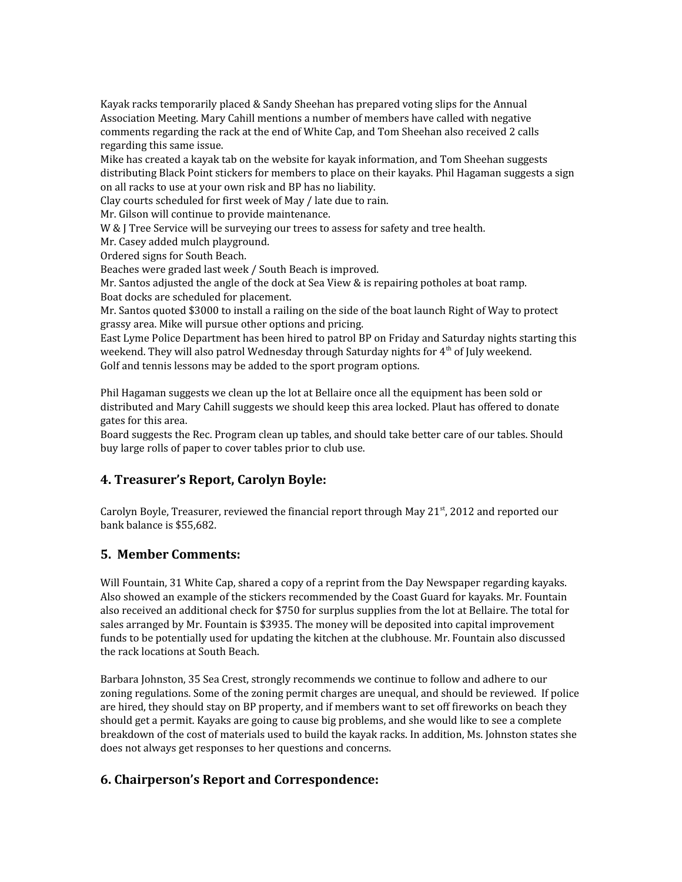Kayak racks temporarily placed & Sandy Sheehan has prepared voting slips for the Annual Association Meeting. Mary Cahill mentions a number of members have called with negative comments regarding the rack at the end of White Cap, and Tom Sheehan also received 2 calls regarding this same issue.

Mike has created a kayak tab on the website for kayak information, and Tom Sheehan suggests distributing Black Point stickers for members to place on their kayaks. Phil Hagaman suggests a sign on all racks to use at your own risk and BP has no liability.

Clay courts scheduled for first week of May / late due to rain.

Mr. Gilson will continue to provide maintenance.

W & J Tree Service will be surveying our trees to assess for safety and tree health.

Mr. Casey added mulch playground.

Ordered signs for South Beach.

Beaches were graded last week / South Beach is improved.

Mr. Santos adjusted the angle of the dock at Sea View & is repairing potholes at boat ramp. Boat docks are scheduled for placement.

Mr. Santos quoted \$3000 to install a railing on the side of the boat launch Right of Way to protect grassy area. Mike will pursue other options and pricing.

East Lyme Police Department has been hired to patrol BP on Friday and Saturday nights starting this weekend. They will also patrol Wednesday through Saturday nights for  $4<sup>th</sup>$  of July weekend. Golf and tennis lessons may be added to the sport program options.

Phil Hagaman suggests we clean up the lot at Bellaire once all the equipment has been sold or distributed and Mary Cahill suggests we should keep this area locked. Plaut has offered to donate gates for this area.

Board suggests the Rec. Program clean up tables, and should take better care of our tables. Should buy large rolls of paper to cover tables prior to club use.

# **4. Treasurer's Report, Carolyn Boyle:**

Carolyn Boyle, Treasurer, reviewed the financial report through May  $21<sup>st</sup>$ , 2012 and reported our bank balance is \$55,682.

#### **5. Member Comments:**

Will Fountain, 31 White Cap, shared a copy of a reprint from the Day Newspaper regarding kayaks. Also showed an example of the stickers recommended by the Coast Guard for kayaks. Mr. Fountain also received an additional check for \$750 for surplus supplies from the lot at Bellaire. The total for sales arranged by Mr. Fountain is \$3935. The money will be deposited into capital improvement funds to be potentially used for updating the kitchen at the clubhouse. Mr. Fountain also discussed the rack locations at South Beach.

Barbara Johnston, 35 Sea Crest, strongly recommends we continue to follow and adhere to our zoning regulations. Some of the zoning permit charges are unequal, and should be reviewed. If police are hired, they should stay on BP property, and if members want to set off fireworks on beach they should get a permit. Kayaks are going to cause big problems, and she would like to see a complete breakdown of the cost of materials used to build the kayak racks. In addition, Ms. Johnston states she does not always get responses to her questions and concerns.

# **6. Chairperson's Report and Correspondence:**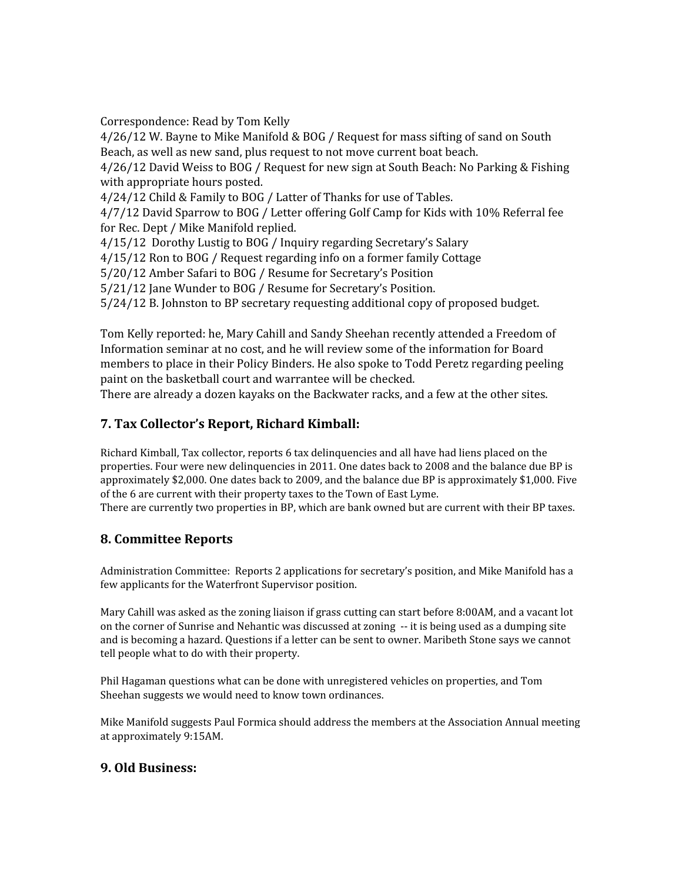Correspondence: Read by Tom Kelly

4/26/12 W. Bayne to Mike Manifold & BOG / Request for mass sifting of sand on South Beach, as well as new sand, plus request to not move current boat beach.

4/26/12 David Weiss to BOG / Request for new sign at South Beach: No Parking & Fishing with appropriate hours posted.

4/24/12 Child & Family to BOG / Latter of Thanks for use of Tables.

4/7/12 David Sparrow to BOG / Letter offering Golf Camp for Kids with 10% Referral fee for Rec. Dept / Mike Manifold replied.

4/15/12 Dorothy Lustig to BOG / Inquiry regarding Secretary's Salary

4/15/12 Ron to BOG / Request regarding info on a former family Cottage

5/20/12 Amber Safari to BOG / Resume for Secretary's Position

5/21/12 Jane Wunder to BOG / Resume for Secretary's Position.

5/24/12 B. Johnston to BP secretary requesting additional copy of proposed budget.

Tom Kelly reported: he, Mary Cahill and Sandy Sheehan recently attended a Freedom of Information seminar at no cost, and he will review some of the information for Board members to place in their Policy Binders. He also spoke to Todd Peretz regarding peeling paint on the basketball court and warrantee will be checked.

There are already a dozen kayaks on the Backwater racks, and a few at the other sites.

# **7. Tax Collector's Report, Richard Kimball:**

Richard Kimball, Tax collector, reports 6 tax delinquencies and all have had liens placed on the properties. Four were new delinquencies in 2011. One dates back to 2008 and the balance due BP is approximately \$2,000. One dates back to 2009, and the balance due BP is approximately \$1,000. Five of the 6 are current with their property taxes to the Town of East Lyme.

There are currently two properties in BP, which are bank owned but are current with their BP taxes.

# **8. Committee Reports**

Administration Committee: Reports 2 applications for secretary's position, and Mike Manifold has a few applicants for the Waterfront Supervisor position.

Mary Cahill was asked as the zoning liaison if grass cutting can start before 8:00AM, and a vacant lot on the corner of Sunrise and Nehantic was discussed at zoning -- it is being used as a dumping site and is becoming a hazard. Questions if a letter can be sent to owner. Maribeth Stone says we cannot tell people what to do with their property.

Phil Hagaman questions what can be done with unregistered vehicles on properties, and Tom Sheehan suggests we would need to know town ordinances.

Mike Manifold suggests Paul Formica should address the members at the Association Annual meeting at approximately 9:15AM.

#### **9. Old Business:**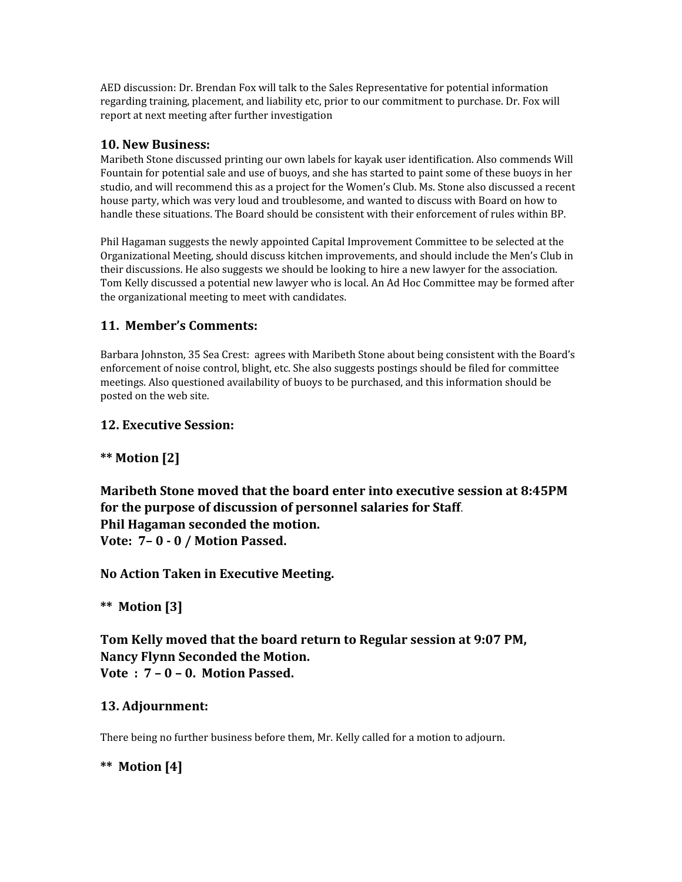AED discussion: Dr. Brendan Fox will talk to the Sales Representative for potential information regarding training, placement, and liability etc, prior to our commitment to purchase. Dr. Fox will report at next meeting after further investigation

#### **10. New Business:**

Maribeth Stone discussed printing our own labels for kayak user identification. Also commends Will Fountain for potential sale and use of buoys, and she has started to paint some of these buoys in her studio, and will recommend this as a project for the Women's Club. Ms. Stone also discussed a recent house party, which was very loud and troublesome, and wanted to discuss with Board on how to handle these situations. The Board should be consistent with their enforcement of rules within BP.

Phil Hagaman suggests the newly appointed Capital Improvement Committee to be selected at the Organizational Meeting, should discuss kitchen improvements, and should include the Men's Club in their discussions. He also suggests we should be looking to hire a new lawyer for the association. Tom Kelly discussed a potential new lawyer who is local. An Ad Hoc Committee may be formed after the organizational meeting to meet with candidates.

# **11. Member's Comments:**

Barbara Johnston, 35 Sea Crest: agrees with Maribeth Stone about being consistent with the Board's enforcement of noise control, blight, etc. She also suggests postings should be filed for committee meetings. Also questioned availability of buoys to be purchased, and this information should be posted on the web site.

# **12. Executive Session:**

# **\*\* Motion [2]**

**Maribeth Stone moved that the board enter into executive session at 8:45PM for the purpose of discussion of personnel salaries for Staff**. **Phil Hagaman seconded the motion. Vote: 7– 0 - 0 / Motion Passed.**

**No Action Taken in Executive Meeting.**

**\*\* Motion [3]**

**Tom Kelly moved that the board return to Regular session at 9:07 PM, Nancy Flynn Seconded the Motion. Vote : 7 – 0 – 0. Motion Passed.**

# **13. Adjournment:**

There being no further business before them, Mr. Kelly called for a motion to adjourn.

# **\*\* Motion [4]**